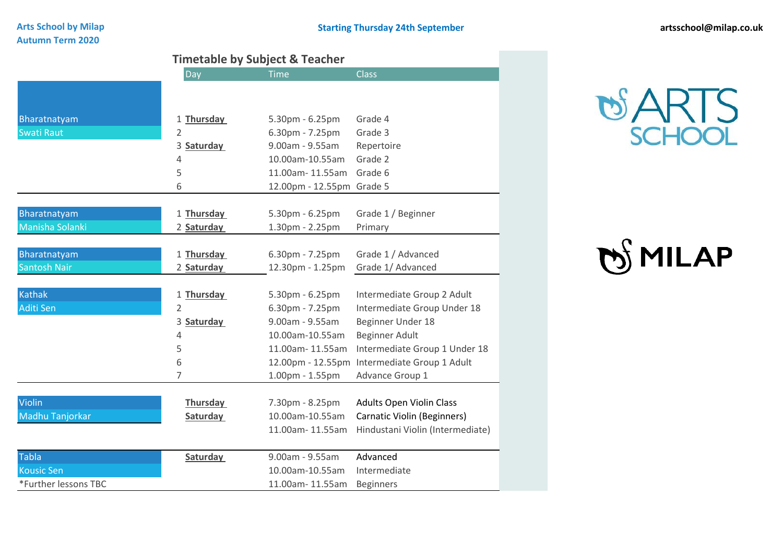## **Timetable by Subject & Teacher**

|                      | $\overline{Day}$ | <b>Time</b>               | <b>Class</b>                     |
|----------------------|------------------|---------------------------|----------------------------------|
|                      |                  |                           |                                  |
|                      |                  |                           |                                  |
| Bharatnatyam         | 1 Thursday       | 5.30pm - 6.25pm           | Grade 4                          |
| <b>Swati Raut</b>    | $\overline{2}$   | $6.30pm - 7.25pm$         | Grade 3                          |
|                      | 3 Saturday       | 9.00am - 9.55am           | Repertoire                       |
|                      | 4                | 10.00am-10.55am           | Grade 2                          |
|                      | 5                | 11.00am-11.55am           | Grade 6                          |
|                      | 6                | 12.00pm - 12.55pm Grade 5 |                                  |
|                      |                  |                           |                                  |
| Bharatnatyam         | 1 Thursday       | 5.30pm - 6.25pm           | Grade 1 / Beginner               |
| Manisha Solanki      | 2 Saturday       | 1.30pm - 2.25pm           | Primary                          |
|                      |                  |                           |                                  |
| Bharatnatyam         | 1 Thursday       | 6.30pm - 7.25pm           | Grade 1 / Advanced               |
| <b>Santosh Nair</b>  | 2 Saturday       | 12.30pm - 1.25pm          | Grade 1/ Advanced                |
|                      |                  |                           |                                  |
| <b>Kathak</b>        | 1 Thursday       | 5.30pm - 6.25pm           | Intermediate Group 2 Adult       |
| Aditi Sen            | 2                | $6.30pm - 7.25pm$         | Intermediate Group Under 18      |
|                      | 3 Saturday       | 9.00am - 9.55am           | Beginner Under 18                |
|                      | 4                | 10.00am-10.55am           | Beginner Adult                   |
|                      | 5                | 11.00am-11.55am           | Intermediate Group 1 Under 18    |
|                      | 6                | 12.00pm - 12.55pm         | Intermediate Group 1 Adult       |
|                      | 7                | 1.00pm - 1.55pm           | Advance Group 1                  |
|                      |                  |                           |                                  |
| Violin               | Thursday         | 7.30pm - 8.25pm           | <b>Adults Open Violin Class</b>  |
| Madhu Tanjorkar      | Saturday         | 10.00am-10.55am           | Carnatic Violin (Beginners)      |
|                      |                  | 11.00am-11.55am           | Hindustani Violin (Intermediate) |
|                      |                  |                           |                                  |
| <b>Tabla</b>         | Saturday         | 9.00am - 9.55am           | Advanced                         |
| <b>Kousic Sen</b>    |                  | 10.00am-10.55am           | Intermediate                     |
| *Further lessons TBC |                  | 11.00am-11.55am           | <b>Beginners</b>                 |



# OS MILAP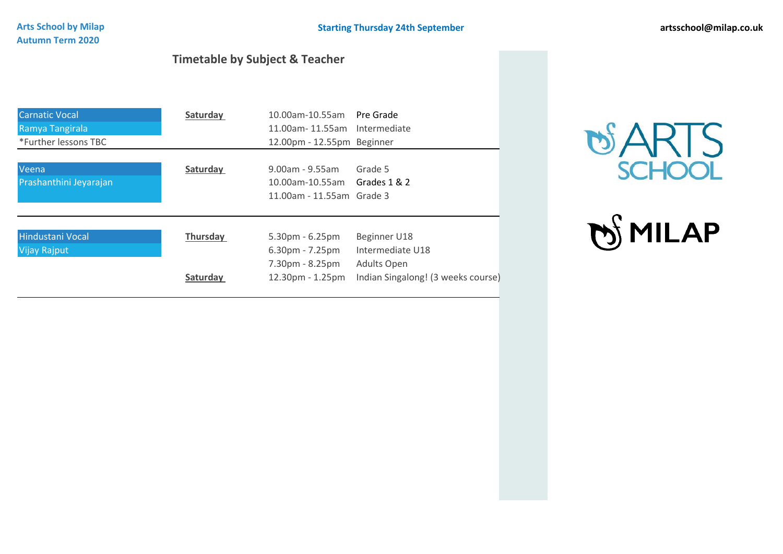#### **Arts School by Milap Autumn Term 2020**

## **Timetable by Subject & Teacher**

| <b>Carnatic Vocal</b><br>Ramya Tangirala<br>*Further lessons TBC | Saturday             | 10.00am-10.55am<br>11.00am-11.55am Intermediate<br>12.00pm - 12.55pm Beginner      | Pre Grade                                                                                    |
|------------------------------------------------------------------|----------------------|------------------------------------------------------------------------------------|----------------------------------------------------------------------------------------------|
| Veena<br>Prashanthini Jeyarajan                                  | Saturday             | $9.00$ am - $9.55$ am<br>10.00am-10.55am Grades 1 & 2<br>11.00am - 11.55am Grade 3 | Grade 5                                                                                      |
| Hindustani Vocal<br><b>Vijay Rajput</b>                          | Thursday<br>Saturday | $5.30pm - 6.25pm$<br>$6.30pm - 7.25pm$<br>7.30pm - 8.25pm<br>12.30pm - 1.25pm      | Beginner U18<br>Intermediate U18<br><b>Adults Open</b><br>Indian Singalong! (3 weeks course) |



# **OS MILAP**